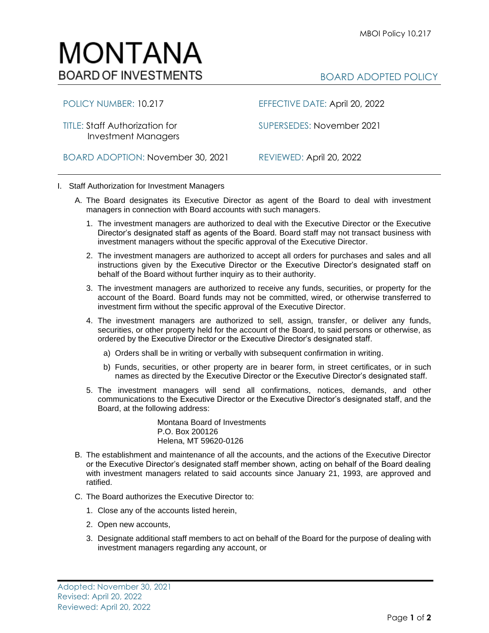## MONTANA **BOARD OF INVESTMENTS**

Investment Managers

POLICY NUMBER: 10.217 EFFECTIVE DATE: April 20, 2022

TITLE: Staff Authorization for SUPERSEDES: November 2021

BOARD ADOPTION: November 30, 2021 REVIEWED: April 20, 2022

- I. Staff Authorization for Investment Managers
	- A. The Board designates its Executive Director as agent of the Board to deal with investment managers in connection with Board accounts with such managers.
		- 1. The investment managers are authorized to deal with the Executive Director or the Executive Director's designated staff as agents of the Board. Board staff may not transact business with investment managers without the specific approval of the Executive Director.
		- 2. The investment managers are authorized to accept all orders for purchases and sales and all instructions given by the Executive Director or the Executive Director's designated staff on behalf of the Board without further inquiry as to their authority.
		- 3. The investment managers are authorized to receive any funds, securities, or property for the account of the Board. Board funds may not be committed, wired, or otherwise transferred to investment firm without the specific approval of the Executive Director.
		- 4. The investment managers are authorized to sell, assign, transfer, or deliver any funds, securities, or other property held for the account of the Board, to said persons or otherwise, as ordered by the Executive Director or the Executive Director's designated staff.
			- a) Orders shall be in writing or verbally with subsequent confirmation in writing.
			- b) Funds, securities, or other property are in bearer form, in street certificates, or in such names as directed by the Executive Director or the Executive Director's designated staff.
		- 5. The investment managers will send all confirmations, notices, demands, and other communications to the Executive Director or the Executive Director's designated staff, and the Board, at the following address:

Montana Board of Investments P.O. Box 200126 Helena, MT 59620-0126

- B. The establishment and maintenance of all the accounts, and the actions of the Executive Director or the Executive Director's designated staff member shown, acting on behalf of the Board dealing with investment managers related to said accounts since January 21, 1993, are approved and ratified.
- C. The Board authorizes the Executive Director to:
	- 1. Close any of the accounts listed herein,
	- 2. Open new accounts,
	- 3. Designate additional staff members to act on behalf of the Board for the purpose of dealing with investment managers regarding any account, or